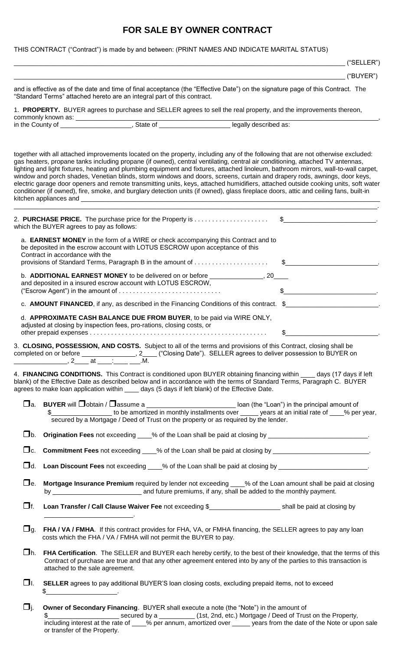## **FOR SALE BY OWNER CONTRACT**

## THIS CONTRACT ("Contract") is made by and between: (PRINT NAMES AND INDICATE MARITAL STATUS)

|           |                                                                                                                                                                                                                                                                                                                                                                                                                                                                                                                                                                           |     | ("SELECTR")                                                                                                                                                                                                                                                               |
|-----------|---------------------------------------------------------------------------------------------------------------------------------------------------------------------------------------------------------------------------------------------------------------------------------------------------------------------------------------------------------------------------------------------------------------------------------------------------------------------------------------------------------------------------------------------------------------------------|-----|---------------------------------------------------------------------------------------------------------------------------------------------------------------------------------------------------------------------------------------------------------------------------|
|           |                                                                                                                                                                                                                                                                                                                                                                                                                                                                                                                                                                           |     | ("BUYER")                                                                                                                                                                                                                                                                 |
|           | and is effective as of the date and time of final acceptance (the "Effective Date") on the signature page of this Contract. The<br>"Standard Terms" attached hereto are an integral part of this contract.                                                                                                                                                                                                                                                                                                                                                                |     |                                                                                                                                                                                                                                                                           |
|           | 1. PROPERTY. BUYER agrees to purchase and SELLER agrees to sell the real property, and the improvements thereon,                                                                                                                                                                                                                                                                                                                                                                                                                                                          |     |                                                                                                                                                                                                                                                                           |
|           |                                                                                                                                                                                                                                                                                                                                                                                                                                                                                                                                                                           |     |                                                                                                                                                                                                                                                                           |
|           |                                                                                                                                                                                                                                                                                                                                                                                                                                                                                                                                                                           |     |                                                                                                                                                                                                                                                                           |
|           | together with all attached improvements located on the property, including any of the following that are not otherwise excluded:<br>gas heaters, propane tanks including propane (if owned), central ventilating, central air conditioning, attached TV antennas,<br>window and porch shades, Venetian blinds, storm windows and doors, screens, curtain and drapery rods, awnings, door keys,<br>conditioner (if owned), fire, smoke, and burglary detection units (if owned), glass fireplace doors, attic and ceiling fans, built-in                                   |     | lighting and light fixtures, heating and plumbing equipment and fixtures, attached linoleum, bathroom mirrors, wall-to-wall carpet,<br>electric garage door openers and remote transmitting units, keys, attached humidifiers, attached outside cooking units, soft water |
|           | 2. PURCHASE PRICE. The purchase price for the Property is \$<br>which the BUYER agrees to pay as follows:                                                                                                                                                                                                                                                                                                                                                                                                                                                                 |     |                                                                                                                                                                                                                                                                           |
|           | a. <b>EARNEST MONEY</b> in the form of a WIRE or check accompanying this Contract and to<br>be deposited in the escrow account with LOTUS ESCROW upon acceptance of this<br>Contract in accordance with the                                                                                                                                                                                                                                                                                                                                                               |     |                                                                                                                                                                                                                                                                           |
|           | provisions of Standard Terms, Paragraph B in the amount of                                                                                                                                                                                                                                                                                                                                                                                                                                                                                                                |     |                                                                                                                                                                                                                                                                           |
|           | and deposited in a insured escrow account with LOTUS ESCROW,                                                                                                                                                                                                                                                                                                                                                                                                                                                                                                              |     |                                                                                                                                                                                                                                                                           |
|           |                                                                                                                                                                                                                                                                                                                                                                                                                                                                                                                                                                           |     |                                                                                                                                                                                                                                                                           |
|           | c. AMOUNT FINANCED, if any, as described in the Financing Conditions of this contract. \$                                                                                                                                                                                                                                                                                                                                                                                                                                                                                 |     |                                                                                                                                                                                                                                                                           |
|           | d. APPROXIMATE CASH BALANCE DUE FROM BUYER, to be paid via WIRE ONLY,<br>adjusted at closing by inspection fees, pro-rations, closing costs, or                                                                                                                                                                                                                                                                                                                                                                                                                           |     |                                                                                                                                                                                                                                                                           |
|           | 3. CLOSING, POSSESSION, AND COSTS. Subject to all of the terms and provisions of this Contract, closing shall be<br>completed on or before _____________________, 2____ ("Closing Date"). SELLER agrees to deliver possession to BUYER on<br>$\frac{1}{2}$ at $\frac{1}{2}$                                                                                                                                                                                                                                                                                               | .M. |                                                                                                                                                                                                                                                                           |
|           | 4. FINANCING CONDITIONS. This Contract is conditioned upon BUYER obtaining financing within ____ days (17 days if left<br>blank) of the Effective Date as described below and in accordance with the terms of Standard Terms, Paragraph C. BUYER<br>agrees to make loan application within ____ days (5 days if left blank) of the Effective Date.                                                                                                                                                                                                                        |     |                                                                                                                                                                                                                                                                           |
|           | □ a. BUYER will □ obtain / □ assume a ___________________________ loan (the "Loan") in the principal amount of<br>secured by a Mortgage / Deed of Trust on the property or as required by the lender.                                                                                                                                                                                                                                                                                                                                                                     |     |                                                                                                                                                                                                                                                                           |
|           |                                                                                                                                                                                                                                                                                                                                                                                                                                                                                                                                                                           |     |                                                                                                                                                                                                                                                                           |
|           | □c. Commitment Fees not exceeding ___% of the Loan shall be paid at closing by ________________________________                                                                                                                                                                                                                                                                                                                                                                                                                                                           |     |                                                                                                                                                                                                                                                                           |
|           | □d. Loan Discount Fees not exceeding ____% of the Loan shall be paid at closing by ___________________________                                                                                                                                                                                                                                                                                                                                                                                                                                                            |     |                                                                                                                                                                                                                                                                           |
|           | □e. Mortgage Insurance Premium required by lender not exceeding ___% of the Loan amount shall be paid at closing                                                                                                                                                                                                                                                                                                                                                                                                                                                          |     |                                                                                                                                                                                                                                                                           |
| $\Box$ f. |                                                                                                                                                                                                                                                                                                                                                                                                                                                                                                                                                                           |     |                                                                                                                                                                                                                                                                           |
| $\Box$ g. | FHA / VA / FMHA. If this contract provides for FHA, VA, or FMHA financing, the SELLER agrees to pay any loan<br>costs which the FHA / VA / FMHA will not permit the BUYER to pay.                                                                                                                                                                                                                                                                                                                                                                                         |     |                                                                                                                                                                                                                                                                           |
| □h.       | Contract of purchase are true and that any other agreement entered into by any of the parties to this transaction is<br>attached to the sale agreement.                                                                                                                                                                                                                                                                                                                                                                                                                   |     | FHA Certification. The SELLER and BUYER each hereby certify, to the best of their knowledge, that the terms of this                                                                                                                                                       |
| □I.       | SELLER agrees to pay additional BUYER'S loan closing costs, excluding prepaid items, not to exceed<br>$\quad \  \  \, {\sf S} \underline{\hspace{1.5cm}} \rule{2.5cm}{0.4cm} \underline{\hspace{1.5cm}} \hspace{1.5cm} \underline{\hspace{1.5cm}} \hspace{1.5cm}} \hspace{2.5cm} \underline{\hspace{1.5cm}} \hspace{2.5cm} \underline{\hspace{1.5cm}} \hspace{2.5cm}} \hspace{2.5cm} \underline{\hspace{1.5cm}} \hspace{2.5cm} \underline{\hspace{1.5cm}} \hspace{2.5cm} \underline{\hspace{1.5cm}} \hspace{2.5cm}} \hspace{2.5cm} \underline{\hspace{1.5cm}} \hspace{2.$ |     |                                                                                                                                                                                                                                                                           |
| $\Box$ i. | Owner of Secondary Financing. BUYER shall execute a note (the "Note") in the amount of                                                                                                                                                                                                                                                                                                                                                                                                                                                                                    |     |                                                                                                                                                                                                                                                                           |

 $\text{\$}$ \_\_\_\_\_\_\_\_\_\_\_\_\_\_\_\_\_\_\_\_\_\_\_\_\_\_\_ secured by a \_\_\_\_\_\_\_\_\_\_\_\_\_ (1st, 2nd, etc.) Mortgage / Deed of Trust on the Property, including interest at the rate of \_\_\_\_% per annum, amortized over \_\_\_\_\_ years from the date of the Note or upon sale or transfer of the Property.